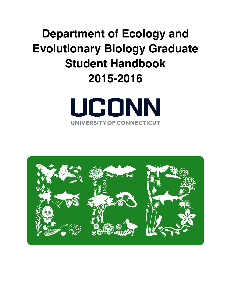# **Department of Ecology and Evolutionary Biology Graduate Student Handbook 2015-2016**



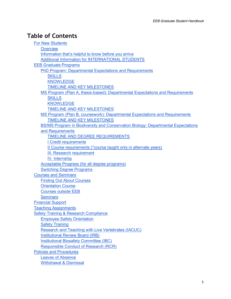# **Table of Contents**

| <b>For New Students</b>                                                           |
|-----------------------------------------------------------------------------------|
| Overview                                                                          |
| Information that's helpful to know before you arrive                              |
| <b>Additional Information for INTERNATIONAL STUDENTS</b>                          |
| <b>EEB Graduate Programs</b>                                                      |
| PhD Program: Departmental Expectations and Requirements                           |
| <b>SKILLS</b>                                                                     |
| <b>KNOWLEDGE</b>                                                                  |
| <b>TIMELINE AND KEY MILESTONES</b>                                                |
| MS Program (Plan A, thesis-based): Departmental Expectations and Requirements     |
| <b>SKILLS</b>                                                                     |
| <b>KNOWLEDGE</b>                                                                  |
| <b>TIMELINE AND KEY MILESTONES</b>                                                |
| MS Program (Plan B, coursework): Departmental Expectations and Requirements       |
| <b>TIMELINE AND KEY MILESTONES</b>                                                |
| BS/MS Program in Biodiversity and Conservation Biology: Departmental Expectations |
| and Requirements                                                                  |
| <b>TIMELINE AND DEGREE REQUIREMENTS</b>                                           |
| <u>I Credit requirements</u>                                                      |
| Il Course requirements (*course taught only in alternate years)                   |
| III. Research requirement                                                         |
| IV. Internship                                                                    |
| Acceptable Progress (for all degree programs)                                     |
| <b>Switching Degree Programs</b>                                                  |
| <b>Courses and Seminars</b>                                                       |
| <b>Finding Out About Courses</b>                                                  |
| <b>Orientation Course</b>                                                         |
| <b>Courses outside EEB</b>                                                        |
| <b>Seminars</b>                                                                   |
| <b>Financial Support</b>                                                          |
| <b>Teaching Assignments</b>                                                       |
| <b>Safety Training &amp; Research Compliance</b>                                  |
| <b>Employee Safety Orientation</b>                                                |
| <b>Safety Training</b>                                                            |
| <b>Research and Teaching with Live Vertebrates (IACUC)</b>                        |
| <b>Institutional Review Board (IRB)</b>                                           |
| <b>Institutional Biosafety Committee (IBC)</b>                                    |
| <b>Responsible Conduct of Research (RCR)</b>                                      |
| <b>Policies and Procedures</b>                                                    |
| <b>Leaves of Absence</b>                                                          |
| <b>Withdrawal &amp; Dismissal</b>                                                 |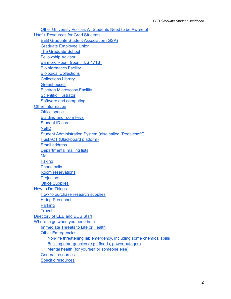[Other University Policies All Students Need to be Aware of](#page-26-5) [Useful Resources for Grad Students](#page-27-0) [EEB Graduate Student Association \(GSA\)](#page-27-1) [Graduate Employee Union](#page-27-2) [The Graduate School](#page-27-3) [Fellowship Advisor](#page-27-4) [Bamford Room \(room TLS 171B\)](#page-27-5) [Bioinformatics Facility](#page-27-6) [Biological Collections](#page-28-0) [Collections Library](#page-28-1) **[Greenhouses](#page-28-2)** [Electron Microscopy Facility](#page-28-3) [Scientific Illustrator](#page-28-4) [Software and computing](#page-28-5) [Other Information](#page-29-0) [Office space](#page-29-1) [Building and room keys](#page-29-2) [Student ID card](#page-29-3) **[NetID](#page-29-4)** [Student Administration System \(also called "Peoplesoft"\)](#page-29-5) [HuskyCT \(Blackboard platform\)](#page-29-6) [Email address](#page-30-0) [Departmental mailing lists](#page-30-1) [Mail](#page-30-2) [Faxing](#page-30-3) [Phone calls](#page-30-4) [Room reservations](#page-30-5) **[Projectors](#page-30-6)** [Office Supplies](#page-30-7) [How to Do Things](#page-31-0) [How to purchase research supplies](#page-31-1) [Hiring Personnel](#page-32-0) **[Parking](#page-32-1) [Travel](#page-33-0)** [Directory of EEB and BCS Staff](#page-34-0) [Where to go when you need help](#page-36-0) [Immediate Threats to Life or Health](#page-36-1) [Other Emergencies](#page-36-2) [Non-life threatening lab emergency, including some chemical spills](#page-36-3) [Building emergencies \(e.g., floods, power outages\)](#page-36-4) [Mental health \(for yourself or someone else\)](#page-36-5) [General resources](#page-36-6) [Specific resources](#page-36-7)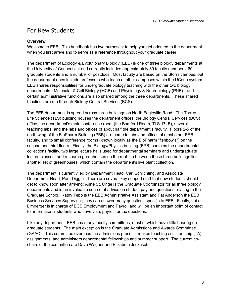# <span id="page-3-0"></span>For New Students

#### <span id="page-3-1"></span>**Overview**

Welcome to EEB! This handbook has two purposes: to help you get oriented to the department when you first arrive and to serve as a reference throughout your graduate career.

The department of Ecology & Evolutionary Biology (EEB) is one of three biology departments at the University of Connecticut and currently includes approximately 30 faculty members, 60 graduate students and a number of postdocs. Most faculty are based on the Storrs campus, but the department does include professors who teach at other campuses within the UConn system. EEB shares responsibilities for undergraduate biology teaching with the other two biology departments - Molecular & Cell Biology (MCB) and Physiology & Neurobiology (PNB) - and certain administrative functions are also shared among the three departments. These shared functions are run through Biology Central Services (BCS).

The EEB department is spread across three buildings on North Eagleville Road. The Torrey Life Science (TLS) building houses the department offices, the Biology Central Services (BCS) office, the department's main conference room (the Bamford Room, TLS 171B), several teaching labs, and the labs and offices of about half the department's faculty. Floors 2-5 of the north wing of the BioPharm Building (PBB) are home to labs and offices of most other EEB faculty, and to small conference rooms (known locally as the BioPharm "fishbowls") on the second and third floors. Finally, the Biology/Physics building (BPB) contains the departmental collections facility, two large lecture halls used for departmental seminars and undergraduate lecture classes, and research greenhouses on the roof. In between these three buildings lies another set of greenhouses, which contain the department's live plant collection.

The department is currently led by Department Head, Carl Schlichting, and Associate Department Head, Pam Diggle. There are several key support staff that new students should get to know soon after arriving: Anne St. Onge is the Graduate Coordinator for all three biology departments and is an invaluable source of advice on student pay and questions relating to the Graduate School. Kathy Tebo is the EEB Administrative Assistant and Pat Anderson the EEB Business Services Supervisor; they can answer many questions specific to EEB. Finally, Lois Limberger is in charge of BCS Employment and Payroll and will be an important point of contact for international students who have visa, payroll, or tax questions.

Like any department, EEB has many faculty committees, most of which have little bearing on graduate students. The main exception is the Graduate Admissions and Awards Committee (GAAC). This committee oversees the admissions process, makes teaching assistantship (TA) assignments, and administers departmental fellowships and summer support. The current cochairs of the committee are Dave Wagner and Elizabeth Jockusch.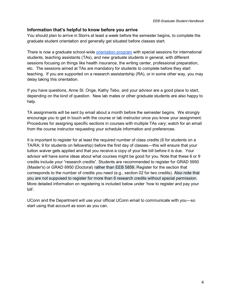#### <span id="page-4-0"></span>**Information that's helpful to know before you arrive**

You should plan to arrive in Storrs at least a week before the semester begins, to complete the graduate student orientation and generally get situated before classes start.

There is now a graduate school-wide [orientation program](http://grad.uconn.edu/newstudents/#orientation/) with special sessions for international students, teaching assistants (TAs), and new graduate students in general, with different sessions focusing on things like health insurance, the writing center, professional preparation, etc. The sessions aimed at TAs are mandatory for students to complete before they start teaching. If you are supported on a research assistantship (RA), or in some other way, you may delay taking this orientation.

If you have questions, Anne St. Onge, Kathy Tebo, and your advisor are a good place to start, depending on the kind of question. New lab mates or other graduate students are also happy to help.

TA assignments will be sent by email about a month before the semester begins. We strongly encourage you to get in touch with the course or lab instructor once you know your assignment. Procedures for assigning specific sections in courses with multiple TAs vary; watch for an email from the course instructor requesting your schedule information and preferences.

It is important to register for at least the required number of class credits (6 for students on a TA/RA; 9 for students on fellowship) before the first day of classes—this will ensure that your tuition waiver gets applied and that you receive a copy of your fee bill before it is due. Your advisor will have some ideas about what courses might be good for you. Note that these 6 or 9 credits include your "research credits". Students are recommended to register for GRAD 5950 (Master's) or GRAD 6950 (Doctoral) rather than EEB 5859. Register for the section that corresponds to the number of credits you need (e.g., section 02 for two credits). Also note that you are not supposed to register for more than 6 research credits without special permission. More detailed information on registering is included below under 'how to register and pay your bill'.

UConn and the Department will use your official UConn email to communicate with you—so start using that account as soon as you can.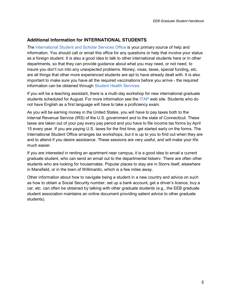#### <span id="page-5-0"></span>**Additional Information for INTERNATIONAL STUDENTS**

The [International Student and Scholar Services Office](http://isss.uconn.edu/) is your primary source of help and information. You should call or email this office for any questions or help that involve your status as a foreign student. It is also a good idea to talk to other international students here or in other departments, so that they can provide guidance about what you may need, or not need, to insure you don't run into any unexpected problems. Money, visas, taxes, special funding, etc. are all things that other more experienced students are apt to have already dealt with. It is also important to make sure you have all the required vaccinations before you arrive - the required information can be obtained through [Student Health Services.](http://www.shs.uconn.edu/)

If you will be a teaching assistant, there is a multi-day workshop for new international graduate students scheduled for August. For more information see the [ITAP](http://www.itap.uconn.edu/) web site. Students who do not have English as a first language will have to take a proficiency exam.

As you will be earning money in the United States, you will have to pay taxes both to the Internal Revenue Service (IRS) of the U.S. government and to the state of Connecticut. These taxes are taken out of your pay every pay period and you have to file income tax forms by April 15 every year. If you are paying U.S. taxes for the first time, get started early on the forms. The International Student Office arranges tax workshops, but it is up to you to find out when they are and to attend if you desire assistance. These sessions are very useful, and will make your life much easier.

If you are interested in renting an apartment near campus, it is a good idea to email a current graduate student, who can send an email out to the departmental listserv. There are often other students who are looking for housemates. Popular places to stay are in Storrs itself, elsewhere in Mansfield, or in the town of Willimantic, which is a few miles away.

Other information about how to navigate being a student in a new country and advice on such as how to obtain a Social Security number, set up a bank account, get a driver's licence, buy a car, etc. can often be obtained by talking with other graduate students (e.g., the EEB graduate student association maintains an online document providing salient advice to other graduate students).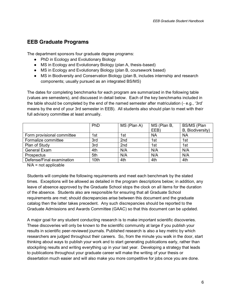# <span id="page-6-0"></span>**EEB Graduate Programs**

The department sponsors four graduate degree programs:

- PhD in Ecology and Evolutionary Biology
- MS in Ecology and Evolutionary Biology (plan A, thesis-based)
- MS in Ecology and Evolutionary Biology (plan B, coursework based)
- MS in Biodiversity and Conservation Biology (plan B, includes internship and research components; usually pursued as an integrated BS/MS)

The dates for completing benchmarks for each program are summarized in the following table (values are semesters), and discussed in detail below. Each of the key benchmarks included in the table should be completed by the end of the named semester after matriculation (- e.g., '3rd' means by the end of your 3rd semester in EEB). All students also should plan to meet with their full advisory committee at least annually.

|                            | PhD  | MS (Plan A)     | MS (Plan B, | BS/MS (Plan      |
|----------------------------|------|-----------------|-------------|------------------|
|                            |      |                 | EEB)        | B, Biodiversity) |
| Form provisional committee | 1st  | 1st             | <b>NA</b>   | ΝA               |
| Formalize committee        | 3rd  | 2 <sub>nd</sub> | 1st         | 1st              |
| Plan of Study              | 3rd  | 2 <sub>nd</sub> | 1st         | 1st              |
| General Exam               | 4th  | N/A             | N/A         | N/A              |
| Prospectus                 | 5th  | N/A             | N/A         | N/A              |
| Defense/Final examination  | 10th | 4th             | 4th         | 4th              |

 $N/A$  = not applicable

Students will complete the following requirements and meet each benchmark by the stated times. Exceptions will be allowed as detailed in the program descriptions below; in addition, any leave of absence approved by the Graduate School stops the clock on all items for the duration of the absence. Students also are responsible for ensuring that all Graduate School requirements are met; should discrepancies arise between this document and the graduate catalog then the latter takes precedent. Any such discrepancies should be reported to the Graduate Admissions and Awards Committee (GAAC) so that this document can be updated.

A major goal for any student conducting research is to make important scientific discoveries. These discoveries will only be known to the scientific community at large if you publish your results in scientific peer-reviewed journals. Published research is also a key metric by which researchers are judged throughout their careers. So, from the minute you walk in the door, start thinking about ways to publish your work and to start generating publications early, rather than stockpiling results and writing everything up in your last year. Developing a strategy that leads to publications throughout your graduate career will make the writing of your thesis or dissertation much easier and will also make you more competitive for jobs once you are done.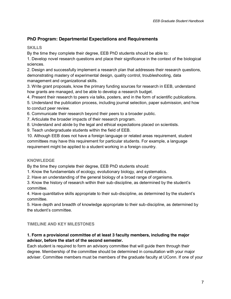# <span id="page-7-0"></span>**PhD Program: Departmental Expectations and Requirements**

#### <span id="page-7-1"></span>**SKILLS**

By the time they complete their degree, EEB PhD students should be able to:

1. Develop novel research questions and place their significance in the context of the biological sciences.

2. Design and successfully implement a research plan that addresses their research questions, demonstrating mastery of experimental design, quality control, troubleshooting, data management and organizational skills.

3. Write grant proposals, know the primary funding sources for research in EEB, understand how grants are managed, and be able to develop a research budget.

4. Present their research to peers via talks, posters, and in the form of scientific publications.

5. Understand the publication process, including journal selection, paper submission, and how to conduct peer review.

6. Communicate their research beyond their peers to a broader public.

7. Articulate the broader impacts of their research program.

8. Understand and abide by the legal and ethical expectations placed on scientists.

9. Teach undergraduate students within the field of EEB.

10. Although EEB does not have a foreign language or related areas requirement, student committees may have this requirement for particular students. For example, a language requirement might be applied to a student working in a foreign country.

#### <span id="page-7-2"></span>**KNOWLEDGE**

By the time they complete their degree, EEB PhD students should:

1. Know the fundamentals of ecology, evolutionary biology, and systematics.

2. Have an understanding of the general biology of a broad range of organisms.

3. Know the history of research within their sub-discipline, as determined by the student's committee.

4. Have quantitative skills appropriate to their sub-discipline, as determined by the student's committee.

5. Have depth and breadth of knowledge appropriate to their sub-discipline, as determined by the student's committee.

#### <span id="page-7-3"></span>**TIMELINE AND KEY MILESTONES**

#### **1. Form a provisional committee of at least 3 faculty members, including the major advisor, before the start of the second semester.**

Each student is required to form an advisory committee that will guide them through their degree. Membership of the committee should be determined in consultation with your major adviser. Committee members must be members of the graduate faculty at UConn. If one of your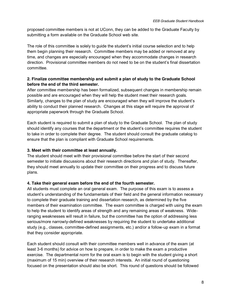proposed committee members is not at UConn, they can be added to the Graduate Faculty by submitting a form available on the Graduate School web site.

The role of this committee is solely to guide the student's initial course selection and to help them begin planning their research. Committee members may be added or removed at any time, and changes are especially encouraged when they accommodate changes in research direction. Provisional committee members do not need to be on the student's final dissertation committee.

#### **2. Finalize committee membership and submit a plan of study to the Graduate School before the end of the third semester.**

After committee membership has been formalized, subsequent changes in membership remain possible and are encouraged when they will help the student meet their research goals. Similarly, changes to the plan of study are encouraged when they will improve the student's ability to conduct their planned research. Changes at this stage will require the approval of appropriate paperwork through the Graduate School.

Each student is required to submit a plan of study to the Graduate School. The plan of study should identify any courses that the department or the student's committee requires the student to take in order to complete their degree. The student should consult the graduate catalog to ensure that the plan is compliant with Graduate School requirements.

#### **3. Meet with their committee at least annually.**

The student should meet with their provisional committee before the start of their second semester to initiate discussions about their research directions and plan of study. Thereafter, they should meet annually to update their committee on their progress and to discuss future plans.

#### **4. Take their general exam before the end of the fourth semester.**

All students must complete an oral general exam. The purpose of this exam is to assess a student's understanding of the fundamentals of their field and the general information necessary to complete their graduate training and dissertation research, as determined by the five members of their examination committee. The exam committee is charged with using the exam to help the student to identify areas of strength and any remaining areas of weakness. Wideranging weaknesses will result in failure, but the committee has the option of addressing less serious/more narrowly-defined weaknesses by requiring the student to undertake additional study (e.g., classes, committee-defined assignments, etc.) and/or a follow-up exam in a format that they consider appropriate.

Each student should consult with their committee members well in advance of the exam (at least 3-6 months) for advice on how to prepare, in order to make the exam a productive exercise. The departmental norm for the oral exam is to begin with the student giving a short (maximum of 15 min) overview of their research interests. An initial round of questioning focused on the presentation should also be short. This round of questions should be followed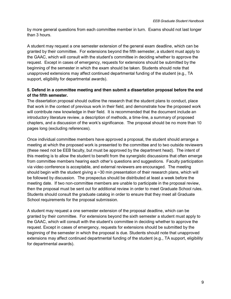by more general questions from each committee member in turn. Exams should not last longer than 3 hours.

A student may request a one semester extension of the general exam deadline, which can be granted by their committee. For extensions beyond the fifth semester, a student must apply to the GAAC, which will consult with the student's committee in deciding whether to approve the request. Except in cases of emergency, requests for extensions should be submitted by the beginning of the semester in which the exam should be taken. Students should note that unapproved extensions may affect continued departmental funding of the student (e.g., TA support, eligibility for departmental awards).

#### **5. Defend in a committee meeting and then submit a dissertation proposal before the end of the fifth semester.**

The dissertation proposal should outline the research that the student plans to conduct, place that work in the context of previous work in their field, and demonstrate how the proposed work will contribute new knowledge in their field. It is recommended that the document include an introductory literature review, a description of methods, a time-line, a summary of proposed chapters, and a discussion of the work's significance. The proposal should be no more than 10 pages long (excluding references).

Once individual committee members have approved a proposal, the student should arrange a meeting at which the proposed work is presented to the committee and to two outside reviewers (these need not be EEB faculty, but must be approved by the department head). The intent of this meeting is to allow the student to benefit from the synergistic discussions that often emerge from committee members hearing each other's questions and suggestions. Faculty participation via video conference is acceptable, and external reviewers are encouraged. The meeting should begin with the student giving a ~30 min presentation of their research plans, which will be followed by discussion. The prospectus should be distributed at least a week before the meeting date. If two non-committee members are unable to participate in the proposal review, then the proposal must be sent out for additional review in order to meet Graduate School rules. Students should consult the graduate catalog in order to ensure that they meet all Graduate School requirements for the proposal submission.

A student may request a one semester extension of the proposal deadline, which can be granted by their committee. For extensions beyond the sixth semester a student must apply to the GAAC, which will consult with the student's committee in deciding whether to approve the request. Except in cases of emergency, requests for extensions should be submitted by the beginning of the semester in which the proposal is due. Students should note that unapproved extensions may affect continued departmental funding of the student (e.g., TA support, eligibility for departmental awards).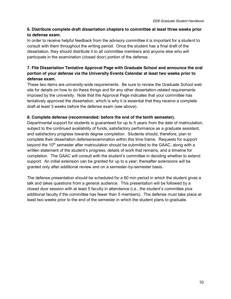#### **6. Distribute complete draft dissertation chapters to committee at least three weeks prior to defense exam.**

In order to receive helpful feedback from the advisory committee it is important for a student to consult with them throughout the writing period. Once the student has a final draft of the dissertation, they should distribute it to all committee members and anyone else who will participate in the examination (closed door) portion of the defense.

#### **7. File Dissertation Tentative Approval Page with Graduate School and announce the oral portion of your defense via the University Events Calendar at least two weeks prior to defense exam.**

These two items are university-wide requirements. Be sure to review the Graduate School web site for details on how to do these things and for any other dissertation-related requirements imposed by the university. Note that the Approval Page indicates that your committee has tentatively approved the dissertation, which is why it is essential that they receive a complete draft at least 3 weeks before the defense exam (see above).

#### **8. Complete defense (recommended: before the end of the tenth semester).**

Departmental support for students is guaranteed for up to 5 years from the date of matriculation, subject to the continued availability of funds, satisfactory performance as a graduate assistant, and satisfactory progress towards degree completion. Students should, therefore, plan to complete their dissertation defense/examination within this time frame. Requests for support beyond the 10<sup>th</sup> semester after matriculation should be submitted to the GAAC, along with a written statement of the student's progress, details of work that remains, and a timeline for completion. The GAAC will consult with the student's committee in deciding whether to extend support. An initial extension can be granted for up to a year; thereafter extensions will be granted only after additional review and on a semester-by-semester basis.

The defense presentation should be scheduled for a 60 min period in which the student gives a talk and takes questions from a general audience. This presentation will be followed by a closed door session with at least 5 faculty in attendance (i.e., the student's committee plus additional faculty if the committee has fewer than 5 members). The defense must take place at least two weeks prior to the end of the semester in which the student plans to graduate.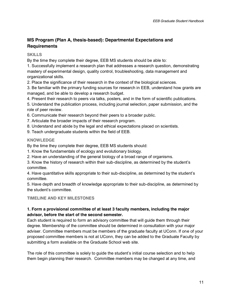# <span id="page-11-0"></span>**MS Program (Plan A, thesis-based): Departmental Expectations and Requirements**

#### <span id="page-11-1"></span>**SKILLS**

By the time they complete their degree, EEB MS students should be able to:

1. Successfully implement a research plan that addresses a research question, demonstrating mastery of experimental design, quality control, troubleshooting, data management and organizational skills.

2. Place the significance of their research in the context of the biological sciences.

3. Be familiar with the primary funding sources for research in EEB, understand how grants are managed, and be able to develop a research budget.

4. Present their research to peers via talks, posters, and in the form of scientific publications.

5. Understand the publication process, including journal selection, paper submission, and the role of peer review.

6. Communicate their research beyond their peers to a broader public.

- 7. Articulate the broader impacts of their research program.
- 8. Understand and abide by the legal and ethical expectations placed on scientists.
- 9. Teach undergraduate students within the field of EEB.

#### <span id="page-11-2"></span>**KNOWLEDGE**

By the time they complete their degree, EEB MS students should:

- 1. Know the fundamentals of ecology and evolutionary biology.
- 2. Have an understanding of the general biology of a broad range of organisms.

3. Know the history of research within their sub-discipline, as determined by the student's committee.

4. Have quantitative skills appropriate to their sub-discipline, as determined by the student's committee.

5. Have depth and breadth of knowledge appropriate to their sub-discipline, as determined by the student's committee.

#### <span id="page-11-3"></span>**TIMELINE AND KEY MILESTONES**

#### **1. Form a provisional committee of at least 3 faculty members, including the major advisor, before the start of the second semester.**

Each student is required to form an advisory committee that will guide them through their degree. Membership of the committee should be determined in consultation with your major adviser. Committee members must be members of the graduate faculty at UConn. If one of your proposed committee members is not at UConn, they can be added to the Graduate Faculty by submitting a form available on the Graduate School web site.

The role of this committee is solely to guide the student's initial course selection and to help them begin planning their research. Committee members may be changed at any time, and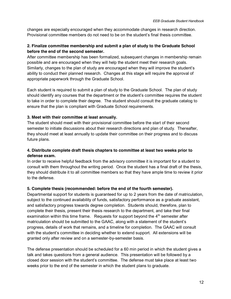changes are especially encouraged when they accommodate changes in research direction. Provisional committee members do not need to be on the student's final thesis committee.

#### **2. Finalize committee membership and submit a plan of study to the Graduate School before the end of the second semester.**

After committee membership has been formalized, subsequent changes in membership remain possible and are encouraged when they will help the student meet their research goals. Similarly, changes to the plan of study are encouraged when they will improve the student's ability to conduct their planned research. Changes at this stage will require the approval of appropriate paperwork through the Graduate School.

Each student is required to submit a plan of study to the Graduate School. The plan of study should identify any courses that the department or the student's committee requires the student to take in order to complete their degree. The student should consult the graduate catalog to ensure that the plan is compliant with Graduate School requirements.

#### **3. Meet with their committee at least annually.**

The student should meet with their provisional committee before the start of their second semester to initiate discussions about their research directions and plan of study. Thereafter, they should meet at least annually to update their committee on their progress and to discuss future plans.

#### **4. Distribute complete draft thesis chapters to committee at least two weeks prior to defense exam.**

In order to receive helpful feedback from the advisory committee it is important for a student to consult with them throughout the writing period. Once the student has a final draft of the thesis, they should distribute it to all committee members so that they have ample time to review it prior to the defense.

#### **5. Complete thesis (recommended: before the end of the fourth semester).**

Departmental support for students is guaranteed for up to 2 years from the date of matriculation, subject to the continued availability of funds, satisfactory performance as a graduate assistant, and satisfactory progress towards degree completion. Students should, therefore, plan to complete their thesis, present their thesis research to the department, and take their final examination within this time frame. Requests for support beyond the  $4<sup>th</sup>$  semester after matriculation should be submitted to the GAAC, along with a statement of the student's progress, details of work that remains, and a timeline for completion. The GAAC will consult with the student's committee in deciding whether to extend support. All extensions will be granted only after review and on a semester-by-semester basis.

The defense presentation should be scheduled for a 60 min period in which the student gives a talk and takes questions from a general audience. This presentation will be followed by a closed door session with the student's committee. The defense must take place at least two weeks prior to the end of the semester in which the student plans to graduate.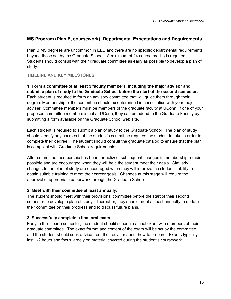#### <span id="page-13-0"></span>**MS Program (Plan B, coursework): Departmental Expectations and Requirements**

Plan B MS degrees are uncommon in EEB and there are no specific departmental requirements beyond those set by the Graduate School. A minimum of 24 course credits is required. Students should consult with their graduate committee as early as possible to develop a plan of study.

#### <span id="page-13-1"></span>**TIMELINE AND KEY MILESTONES**

**1. Form a committee of at least 3 faculty members, including the major advisor and submit a plan of study to the Graduate School before the start of the second semester.** Each student is required to form an advisory committee that will guide them through their degree. Membership of the committee should be determined in consultation with your major adviser. Committee members must be members of the graduate faculty at UConn. If one of your proposed committee members is not at UConn, they can be added to the Graduate Faculty by submitting a form available on the Graduate School web site.

Each student is required to submit a plan of study to the Graduate School. The plan of study should identify any courses that the student's committee requires the student to take in order to complete their degree. The student should consult the graduate catalog to ensure that the plan is compliant with Graduate School requirements.

After committee membership has been formalized, subsequent changes in membership remain possible and are encouraged when they will help the student meet their goals. Similarly, changes to the plan of study are encouraged when they will improve the student's ability to obtain suitable training to meet their career goals. Changes at this stage will require the approval of appropriate paperwork through the Graduate School.

#### **2. Meet with their committee at least annually.**

The student should meet with their provisional committee before the start of their second semester to develop a plan of study. Thereafter, they should meet at least annually to update their committee on their progress and to discuss future plans.

#### **3. Successfully complete a final oral exam.**

Early in their fourth semester, the student should schedule a final exam with members of their graduate committee. The exact format and content of the exam will be set by the committee and the student should seek advice from their advisor about how to prepare. Exams typically last 1-2 hours and focus largely on material covered during the student's coursework.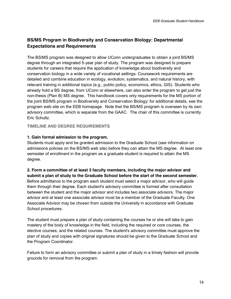# <span id="page-14-0"></span>**BS/MS Program in Biodiversity and Conservation Biology: Departmental Expectations and Requirements**

The BS/MS program was designed to allow UConn undergraduates to obtain a joint BS/MS degree through an integrated 5-year plan of study. The program was designed to prepare students for careers that require the application of knowledge about biodiversity and conservation biology in a wide variety of vocational settings. Coursework requirements are detailed and combine education in ecology, evolution, systematics, and natural history, with relevant training in additional topics (e.g., public policy, economics, ethics, GIS). Students who already hold a BS degree, from UConn or elsewhere, can also enter the program to get just the non-thesis (Plan B) MS degree. This handbook covers only requirements for the MS portion of the joint BS/MS program in Biodiversity and Conservation Biology; for additional details, see the program web site on the EEB homepage. Note that the BS/MS program is overseen by its own advisory committee, which is separate from the GAAC. The chair of this committee is currently Eric Schultz.

#### <span id="page-14-1"></span>**TIMELINE AND DEGREE REQUIREMENTS**

#### **1. Gain formal admission to the program.**

Students must apply and be granted admission to the Graduate School (see [information on](http://www.eeb.uconn.edu/department/BSMS/BSMS_admissions_policies.htm)  admissions policies on the BS/MS web site) before they can attain the MS degree. At least one semester of enrollment in the program as a graduate student is required to attain the MS degree.

#### **2. Form a committee of at least 3 faculty members, including the major advisor and submit a plan of study to the Graduate School before the start of the second semester.**

Before admittance to the program each student must select a major advisor, who will guide them through their degree. Each student's advisory committee is formed after consultation between the student and the major advisor and includes two associate advisors. The major advisor and at least one associate advisor must be a member of the Graduate Faculty. One Associate Advisor may be chosen from outside the University in accordance with Graduate School procedures.

The student must prepare a plan of study containing the courses he or she will take to gain mastery of the body of knowledge in the field, including the required or core courses, the elective courses, and the related courses. The student's advisory committee must approve the plan of study and copies with original signatures should be given to the Graduate School and the Program Coordinator.

Failure to form an advisory committee or submit a plan of study in a timely fashion will provide grounds for removal from the program.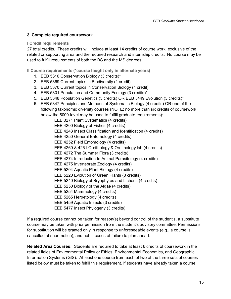#### **3. Complete required coursework**

#### <span id="page-15-0"></span>**I Credit requirements**

27 total credits. These credits will include at least 14 credits of course work, exclusive of the related or supporting area and the required research and internship credits. No course may be used to fulfill requirements of both the BS and the MS degrees.

<span id="page-15-1"></span>**II Course requirements (\*course taught only in alternate years)**

- 1. EEB 5310 Conservation Biology (3 credits)\*
- 2. EEB 5369 Current topics in Biodiversity (1 credit)
- 3. EEB 5370 Current topics in Conservation Biology (1 credit)
- 4. EEB 5301 Population and Community Ecology (3 credits)\*
- 5. EEB 5348 Population Genetics (3 credits) OR EEB 5449 Evolution (3 credits)\*
- 6. EEB 5347 Principles and Methods of Systematic Biology (4 credits) OR one of the following taxonomic diversity courses (NOTE: no more than six credits of coursework below the 5000-level may be used to fulfill graduate requirements):

EEB 3271 Plant Systematics (4 credits) EEB 4200 Biology of Fishes (4 credits) EEB 4243 Insect Classification and Identification (4 credits) EEB 4250 General Entomology (4 credits) EEB 4252 Field Entomology (4 credits) EEB 4260 & 4261 Ornithology & Ornithology lab (4 credits) EEB 4272 The Summer Flora (3 credits) EEB 4274 Introduction to Animal Parasitology (4 credits) EEB 4275 Invertebrate Zoology (4 credits) EEB 5204 Aquatic Plant Biology (4 credits) EEB 5220 Evolution of Green Plants (3 credits) EEB 5240 Biology of Bryophytes and Lichens (4 credits) EEB 5250 Biology of the Algae (4 credits) EEB 5254 Mammalogy (4 credits) EEB 5265 Herpetology (4 credits) EEB 5459 Aquatic Insects (3 credits) EEB 5477 Insect Phylogeny (3 credits)

If a required course cannot be taken for reason(s) beyond control of the student's, a substitute course may be taken with prior permission from the student's advisory committee. Permissions for substitution will be granted only in response to unforeseeable events (e.g., a course is cancelled at short notice), and not in cases of failure to plan ahead.

**Related Area Courses:** Students are required to take at least 6 credits of coursework in the related fields of Environmental Policy or Ethics, Environmental Economics, and Geographic Information Systems (GIS). At least one course from each of two of the three sets of courses listed below must be taken to fulfill this requirement. If students have already taken a course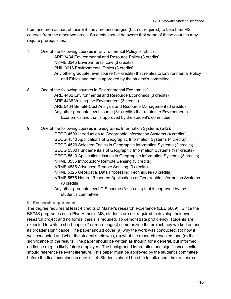from one area as part of their BS, they are encouraged (but not required) to take their MS courses from the other two areas. Students should be aware that some of these courses may require prerequisites.

- 7. One of the following courses in Environmental Policy or Ethics: ARE 3434 Environmental and Resource Policy (3 credits) NRME 3245 Environmental Law (3 credits) PHIL 3216 Environmental Ethics (3 credits) Any other graduate level course (3+ credits) that relates to Environmental Policy and Ethics and that is approved by the student's committee
- 8. One of the following courses in Environmental Economics\*: ARE 4462 Environmental and Resource Economics (3 credits) ARE 4438 Valuing the Environment (3 credits) ARE 5464 Benefit-Cost Analysis and Resource Management (3 credits) Any other graduate level course (3+ credits) that relates to Environmental Economics and that is approved by the student's committee

9. One of the following courses in Geographic Information Systems (GIS): GEOG 4500 Introduction to Geographic Information Systems (4 credits) GEOG 4510 Applications of Geographic Information Systems (4 credits) GEOG 4520 Selected Topics in Geographic Information Systems (2 credits) GEOG 5500 Fundamentals of Geographic Information Systems (var credits) GEOG 5510 Applications Issues in Geographic Information Systems (3 credits) NRME 3535 Introductory Remote Sensing (3 credits) NRME 4535 Advanced Remote Sensing (3 credits) NRME 5325 Geospatial Data Processing Techniques (3 credits) NRME 5575 Natural Resource Applications of Geographic Information Systems (3 credits) Any other graduate level GIS course (3+ credits) that is approved by the student's committee

#### <span id="page-16-0"></span>**III. Research requirement**

The degree requires at least 4 credits of Master's research experience (EEB 5889). Since the BS/MS program is not a Plan A thesis MS, students are not required to develop their own research project and no formal thesis is required. To demonstrate proficiency, students are expected to write a short paper (2 or more pages) summarizing the project they worked on and its broader significance. The paper should cover (a) why the work was conducted, (b) how it was conducted and what the student's role was, (c) what the research revealed, and (d) the significance of the results. The paper should be written as though for a general, but informed, audience (e.g., a likely future employer). The background information and significance section should reference relevant literature. This paper must be approved by the student's committee before the final examination date is set. Students should be able to talk about their research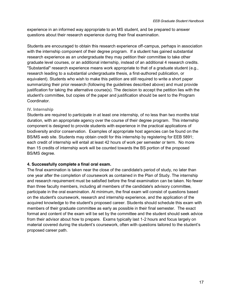experience in an informed way appropriate to an MS student, and be prepared to answer questions about their research experience during their final examination.

Students are encouraged to obtain this research experience off-campus, perhaps in association with the internship component of their degree program. If a student has gained substantial research experience as an undergraduate they may petition their committee to take other graduate level courses, or an additional internship, instead of an additional 4 research credits. "Substantial" research experience means work appropriate to that of a graduate student (e.g., research leading to a substantial undergraduate thesis, a first-authored publication, or equivalent). Students who wish to make this petition are still required to write a short paper summarizing their prior research (following the guidelines described above) and must provide justification for taking the alternative course(s). The decision to accept the petition lies with the student's committee, but copies of the paper and justification should be sent to the Program **Coordinator** 

#### <span id="page-17-0"></span>**IV. Internship**

Students are required to participate in at least one internship, of no less than two months total duration, with an appropriate agency over the course of their degree program. This internship component is designed to provide students with experience in the practical applications of biodiversity and/or conservation. Examples of appropriate host agencies can be found on the BS/MS web site. Students may obtain credit for this internship by registering for EEB 5891; each credit of internship will entail at least 42 hours of work per semester or term. No more than 15 credits of internship work will be counted towards the BS portion of the proposed BS/MS degree.

#### **4. Successfully complete a final oral exam.**

The final examination is taken near the close of the candidate's period of study, no later than one year after the completion of coursework as contained in the Plan of Study. The internship and research requirement must be satisfied before the final examination can be taken. No fewer than three faculty members, including all members of the candidate's advisory committee, participate in the oral examination. At minimum, the final exam will consist of questions based on the student's coursework, research and internship experience, and the application of the acquired knowledge to the student's proposed career. Students should schedule this exam with members of their graduate committee as early as possible in their final semester. The exact format and content of the exam will be set by the committee and the student should seek advice from their advisor about how to prepare. Exams typically last 1-2 hours and focus largely on material covered during the student's coursework, often with questions tailored to the student's proposed career path.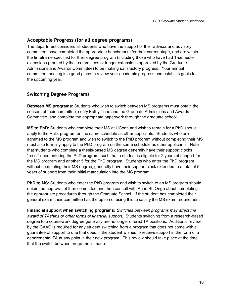# <span id="page-18-0"></span>**Acceptable Progress (for all degree programs)**

The department considers all students who have the support of their advisor and advisory committee, have completed the appropriate benchmarks for their career stage, and are within the timeframe specified for their degree program (including those who have had 1-semester extensions granted by their committees or longer extensions approved by the Graduate Admissions and Awards Committee) to be making satisfactory progress. Your annual committee meeting is a good place to review your academic progress and establish goals for the upcoming year.

# <span id="page-18-1"></span>**Switching Degree Programs**

**Between MS programs:** Students who wish to switch between MS programs must obtain the consent of their committee, notify Kathy Tebo and the Graduate Admissions and Awards Committee, and complete the appropriate paperwork through the graduate school.

**MS to PhD:** Students who complete their MS at UConn and wish to remain for a PhD should apply to the PhD. program on the same schedule as other applicants. Students who are admitted to the MS program and wish to switch to the PhD program without completing their MS must also formally apply to the PhD program on the same schedule as other applicants. Note that students who complete a thesis-based MS degree generally have their support clocks "reset" upon entering the PhD program, such that a student is eligible for 2 years of support for the MS program and another 5 for the PhD program. Students who enter the PhD program without completing their MS degree, generally have their support clock extended to a total of 5 years of support from their initial matriculation into the MS program.

**PhD to MS:** Students who enter the PhD program and wish to switch to an MS program should obtain the approval of their committee and then consult with Anne St. Onge about completing the appropriate procedures through the Graduate School. If the student has completed their general exam, their committee has the option of using this to satisfy the MS exam requirement.

**Financial support when switching programs:** *Switches between programs may affect the award of TAships or other forms of financial support.* Students switching from a research-based degree to a coursework degree generally are no longer offered TA positions. Additional review by the GAAC is required for any student switching from a program that does not come with a guarantee of support to one that does, if the student wishes to receive support in the form of a departmental TA at any point in their new program. This review should take place at the time that the switch between programs is made.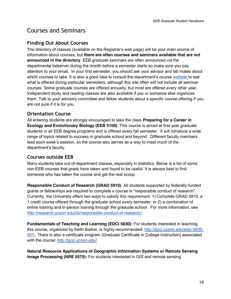# <span id="page-19-0"></span>Courses and Seminars

# <span id="page-19-1"></span>**Finding Out About Courses**

The directory of classes (available on the Registrar's web page) will be your main source of information about courses, but **there are often courses and seminars available that are not announced in the directory**. EEB graduate seminars are often announced via the departmental listserver during the month before a semester starts so make sure you pay attention to your email. In your first semester, you should ask your advisor and lab mates about which courses to take. It is also a good idea to consult the department's course [website t](http://eeb.uconn.edu/courses/)o see what is offered during particular semesters, although this site often will not include all seminar courses. Some graduate courses are offered annually, but most are offered every other year. Independent study and reading classes are also available if you or someone else organizes them. Talk to your advisory committee and fellow students about a specific course offering if you are not sure if it is for you.

# <span id="page-19-2"></span>**Orientation Course**

All entering students are strongly encouraged to take the class **Preparing for a Career in Ecology and Evolutionary Biology (EEB 5100)**. This course is aimed at first year graduate students in all EEB degree programs and is offered every fall semester. It will introduce a wide range of topics related to success in graduate school and beyond. Different faculty members lead each week's session, so the course also serves as a way to meet much of the department's faculty.

# <span id="page-19-3"></span>**Courses outside EEB**

Many students take out-of-department classes, especially in statistics. Below is a list of some non-EEB courses that grads have taken and found to be useful. It is always best to find someone who has taken the course and get the real scoop.

**Responsible Conduct of Research (GRAD 5910)**: All students supported by federally-funded grants or fellowships are required to complete a course in "responsible conduct of research". Currently, the University offers two ways to satisfy this requirement: 1) Complete GRAD 5910, a 1 credit course offered through the graduate school every semester; or 2) a combination of online training and in-person training through the graduate school. For more information, see [http://research.uconn.edu/irb/responsible-conduct-of-research/.](http://research.uconn.edu/irb/responsible-conduct-of-research/)

**Fundamentals of Teaching and Learning (EDCI 5830):** For students interested in teaching, this course, organized by Keith Barker, is highly recommended: [http://gcci.uconn.edu/edci-5830-](http://gcci.uconn.edu/edci-5830-001/) [001/.](http://gcci.uconn.edu/edci-5830-001/) There is also a certificate program (Graduate Certificate in College Instruction) associated with the course:<http://gcci.uconn.edu/>

**Natural Resource Applications of Geographic Information Systems or Remote Sensing Image Processing (NRE 5575):** For students interested in GIS and remote sensing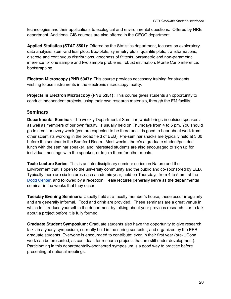technologies and their applications to ecological and environmental questions. Offered by NRE department. Additional GIS courses are also offered in the GEOG department.

**Applied Statistics (STAT 5501):** Offered by the Statistics department, focuses on exploratory data analysis: stem-and leaf plots, Box-plots, symmetry plots, quantile plots, transformations, discrete and continuous distributions, goodness of fit tests, parametric and non-parametric inference for one sample and two sample problems, robust estimation, Monte Carlo inference, bootstrapping.

**Electron Microscopy (PNB 5347):** This course provides necessary training for students wishing to use instruments in the electronic microscopy facility.

**Projects in Electron Microscopy (PNB 5351):** This course gives students an opportunity to conduct independent projects, using their own research materials, through the EM facility.

### <span id="page-20-0"></span>**Seminars**

**Departmental Seminar:** The weekly Departmental Seminar, which brings in outside speakers as well as members of our own faculty, is usually held on Thursdays from 4 to 5 pm. You should go to seminar every week (you are expected to be there and it is good to hear about work from other scientists working in the broad field of EEB). Pre-seminar snacks are typically held at 3:30 before the seminar in the Bamford Room. Most weeks, there's a graduate student/postdoc lunch with the seminar speaker, and interested students are also encouraged to sign up for individual meetings with the speaker, or to join them for other meals.

**Teale Lecture Series**: This is an interdisciplinary seminar series on Nature and the Environment that is open to the university community and the public and co-sponsored by EEB. Typically there are six lectures each academic year, held on Thursdays from 4 to 5 pm, at th[e](https://maps.google.com/maps?q=dodd+center+uconn&hl=en&sll=37.0625,-95.677068&sspn=34.313287,86.572266&t=h&hnear=Thomas+J.+Dodd+Research+Center,+STORRS+MANSFIELD,+Connecticut+06269&z=16) [Dodd Center,](https://maps.google.com/maps?q=dodd+center+uconn&hl=en&sll=37.0625,-95.677068&sspn=34.313287,86.572266&t=h&hnear=Thomas+J.+Dodd+Research+Center,+STORRS+MANSFIELD,+Connecticut+06269&z=16) and followed by a reception. Teale lectures generally serve as the departmental seminar in the weeks that they occur.

**Tuesday Evening Seminars:** Usually held at a faculty member's house, these occur irregularly and are generally informal. Food and drink are provided. These seminars are a great venue in which to introduce yourself to the department by talking about your previous research—or to talk about a project before it is fully formed.

**Graduate Student Symposium:** Graduate students also have the opportunity to give research talks in a yearly symposium, currently held in the spring semester, and organized by the EEB graduate students. Everyone is encouraged to contribute; even in their first year (pre-UConn work can be presented, as can ideas for research projects that are still under development). Participating in this departmentally-sponsored symposium is a good way to practice before presenting at national meetings.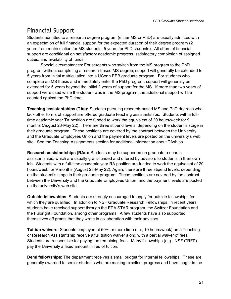# <span id="page-21-0"></span>Financial Support

Students admitted to a research degree program (either MS or PhD) are usually admitted with an expectation of full financial support for the expected duration of their degree program (2 years from matriculation for MS students, 5 years for PhD students). All offers of financial support are conditional on satisfactory academic progress, satisfactory completion of assigned duties, and availability of funds.

Special circumstances: For students who switch from the MS program to the PhD program without completing a research-based MS degree, support will generally be extended to 5 years from initial matriculation into a UConn EEB graduate program. For students who complete an MS thesis and immediately enter the PhD program, support will generally be extended for 5 years beyond the initial 2 years of support for the MS. If more than two years of support were used while the student was in the MS program, the additional support will be counted against the PhD time.

**Teaching assistantships (TAs):** Students pursuing research-based MS and PhD degrees who lack other forms of support are offered graduate teaching assistantships. Students with a fulltime academic year TA position are funded to work the equivalent of 20 hours/week for 9 months (August 23-May 22). There are three stipend levels, depending on the student's stage in their graduate program. These positions are covered by the contract between the University and the Graduate Employees Union and the payment levels are posted on the university's web site. See the Teaching Assignments section for additional information about TAships.

**Research assistantships (RAs):** Students may be supported on graduate research assistantships, which are usually grant-funded and offered by advisors to students in their own lab. Students with a full-time academic year RA position are funded to work the equivalent of 20 hours/week for 9 months (August 23-May 22). Again, there are three stipend levels, depending on the student's stage in their graduate program. These positions are covered by the contract between the University and the Graduate Employees Union and the payment levels are posted on the university's web site.

**Outside fellowships**: Students are strongly encouraged to apply for outside fellowships for which they are qualified. In addition to NSF Graduate Research Fellowships, in recent years, students have received support through the EPA STAR program, the Switzer Foundation and the Fulbright Foundation, among other programs. A few students have also supported themselves off grants that they wrote in collaboration with their advisors.

**Tuition waivers:** Students employed at 50% or more time (i.e., 10 hours/week) on a Teaching or Research Assistantship receive a full tuition waiver along with a partial waiver of fees. Students are responsible for paying the remaining fees. Many fellowships (e.g., NSF GRFP) pay the University a fixed amount in lieu of tuition.

**Demi fellowships**: The department receives a small budget for internal fellowships. These are generally awarded to senior students who are making excellent progress and have taught in the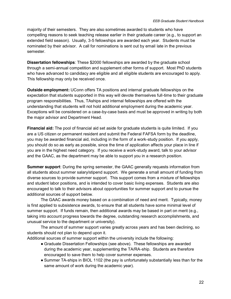majority of their semesters. They are also sometimes awarded to students who have compelling reasons to seek teaching release earlier in their graduate career (e.g., to support an extended field season). Usually, 3-5 fellowships are awarded each year. Students must be nominated by their advisor. A call for nominations is sent out by email late in the previous semester.

**Dissertation fellowships**: These \$2000 fellowships are awarded by the graduate school through a semi-annual competition and supplement other forms of support. Most PhD students who have advanced to candidacy are eligible and all eligible students are encouraged to apply. This fellowship may only be received once.

**Outside employment:** UConn offers TA positions and internal graduate fellowships on the expectation that students supported in this way will devote themselves full-time to their graduate program responsibilities. Thus, TAships and internal fellowships are offered with the understanding that students will not hold additional employment during the academic year. Exceptions will be considered on a case-by-case basis and must be approved in writing by both the major advisor and Department Head.

**Financial aid:** The pool of financial aid set aside for graduate students is quite limited. If you are a US citizen or permanent resident and submit the Federal FAFSA form by the deadline, you may be awarded financial aid, including in the form of a work-study position. If you apply, you should do so as early as possible, since the time of application affects your place in line if you are in the highest need category. If you receive a work-study award, talk to your advisor and the GAAC, as the department may be able to support you in a research position.

**Summer support**: During the spring semester, the GAAC generally requests information from all students about summer salary/stipend support. We generate a small amount of funding from diverse sources to provide summer support. This support comes from a mixture of fellowships and student labor positions, and is intended to cover basic living expenses. Students are also encouraged to talk to their advisors about opportunities for summer support and to pursue the additional sources of support below.

The GAAC awards money based on a combination of need and merit. Typically, money is first applied to subsistence awards, to ensure that all students have some minimal level of summer support. If funds remain, then additional awards may be based in part on merit (e.g., taking into account progress towards the degree, outstanding research accomplishments, and unusual service to the department or university).

The amount of summer support varies greatly across years and has been declining, so students should not plan to depend upon it.

Additional sources of summer support within the university include the following:

- Graduate Dissertation Fellowships (see above). These fellowships are awarded during the academic year, supplementing the TA/RA-ship. Students are therefore encouraged to save them to help cover summer expenses.
- Summer TA-ships in BIOL 1102 (the pay is unfortunately substantially less than for the same amount of work during the academic year).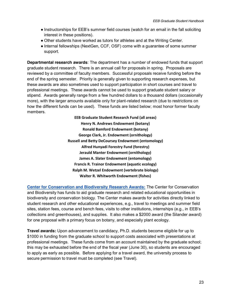- Instructorships for EEB's summer field courses (watch for an email in the fall soliciting interest in these positions).
- Other students have worked as tutors for athletes and at the Writing Center.
- Internal fellowships (NextGen, CCF, OSF) come with a guarantee of some summer support.

**Departmental research awards**: The department has a number of endowed funds that support graduate student research. There is an annual call for proposals in spring. Proposals are reviewed by a committee of faculty members. Successful proposals receive funding before the end of the spring semester. Priority is generally given to supporting research expenses, but these awards are also sometimes used to support participation in short courses and travel to professional meetings. These awards cannot be used to support graduate student salary or stipend. Awards generally range from a few hundred dollars to a thousand dollars (occasionally more), with the larger amounts available only for plant-related research (due to restrictions on how the different funds can be used). These funds are listed below; most honor former faculty members.

> **EEB Graduate Student Research Fund (all areas) Henry N. Andrews Endowment (botany) Ronald Bamford Endowment (botany) George Clark, Jr. Endowment (ornithology) Russell and Betty DeCoursey Endowment (entomology) Alfred Hunyadi Forestry Fund (forestry) Jerauld Manter Endowment (ornithology) James A. Slater Endowment (entomology) Francis R. Trainor Endowment (aquatic ecology) Ralph M. Wetzel Endowment (vertebrate biology) Walter R. Whitworth Endowment (fishes)**

**[Center for Conservation and Biodiversity Research Awards:](http://www.eeb.uconn.edu/department/bioconctr/index.php)** The Center for Conservation and Biodiversity has funds to aid graduate research and related educational opportunities in biodiversity and conservation biology. The Center makes awards for activities directly linked to student research and other educational experiences, e.g., travel to meetings and summer field sites, station fees, course and bench fees, visits to other institutions, internships (e.g., in EEB's collections and greenhouses), and supplies. It also makes a \$2000 award (the Silander award) for one proposal with a primary focus on botany, and especially plant ecology.

**Travel awards:** Upon advancement to candidacy, Ph.D. students become eligible for up to \$1000 in funding from the graduate school to support costs associated with presentations at professional meetings. These funds come from an account maintained by the graduate school; this may be exhausted before the end of the fiscal year (June 30), so students are encouraged to apply as early as possible. Before applying for a travel award, the university process to secure permission to travel must be completed (see Travel).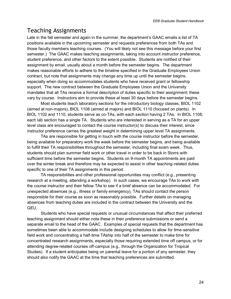# <span id="page-24-0"></span>Teaching Assignments

Late in the fall semester and again in the summer, the department's GAAC emails a list of TA positions available in the upcoming semester and requests preferences from both TAs and those faculty members teaching courses. (You will likely not see this message before your first semester.) The GAAC makes teaching assignments, taking into account instructor preference, student preference, and other factors to the extent possible. Students are notified of their assignment by email, usually about a month before the semester begins. The department makes reasonable efforts to adhere to the timeline specified in the Graduate Employees Union contract, but note that assignments may change any time up until the semester begins, especially when doing so accommodates students who have received grant or fellowship support. The new contract between the Graduate Employees Union and the University mandates that all TAs receive a formal description of duties specific to their assignment; these vary by course. Instructors aim to provide these at least 30 days before the semester begins.

Most students teach laboratory sections for the introductory biology classes, BIOL 1102 (aimed at non-majors), BIOL 1108 (aimed at majors) and BIOL 1110 (focused on plants). In BIOL 1102 and 1110, students serve as co-TAs, with each section having 2 TAs. In BIOL 1108, each lab section has a single TA. Students who are interested in serving as a TA for an upper level class are encouraged to contact the course instructor(s) to discuss their interest, since instructor preference carries the greatest weight in determining upper level TA assignments.

TAs are responsible for getting in touch with the course instructor before the semester, being available for preparatory work the week before the semester begins, and being available to fulfill their TA responsibilities throughout the semester, including final exam week. Thus, students should plan summer field work or other travel in order to be back in Storrs with sufficient time before the semester begins. Students on 9-month TA appointments are paid over the winter break and therefore may be expected to assist in other teaching-related duties specific to one of their TA assignments in this period.

TA responsibilities and other professional opportunities may conflict (e.g., presenting research at a meeting, attending a workshop). In such cases, we encourage TAs to work with the course instructor and their fellow TAs to see if a brief absence can be accommodated. For unexpected absences (e.g., illness or family emergency), TAs should contact the person responsible for their course as soon as reasonably possible. Further details on managing absences from teaching duties are included in the contract between the University and the GEU.

Students who have special requests or unusual circumstances that affect their preferred teaching assignment should either note these in their preference submissions or send a separate email to the head of the GAAC. Examples of special requests that the department has sometimes been able to accommodate include designing schedules to allow for time-sensitive field work and concentrating a half-time TAship into half of the semester to make time for concentrated research assignments, especially those requiring extended time off campus, or for attending degree-related courses off-campus (e.g., through the Organization for Tropical Studies). If a student anticipates being on parental leave for a portion of any semester, they should also notify the GAAC at the time that teaching preferences are submitted.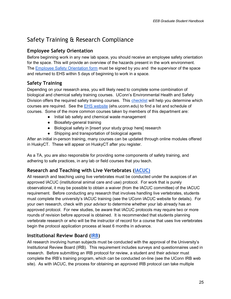# <span id="page-25-0"></span>Safety Training & Research Compliance

# <span id="page-25-1"></span>**Employee Safety Orientation**

Before beginning work in any new lab space, you should receive an employee safety orientation for the space. This will provide an overview of the hazards present in the work environment. The [Employee Safety Orientation form](http://www.ehs.uconn.edu/forms/ESO.pdf) must be signed by you and the supervisor of the space and returned to EHS within 5 days of beginning to work in a space.

# <span id="page-25-2"></span>**Safety Training**

Depending on your research area, you will likely need to complete some combination of biological and chemical safety training courses. UConn's Environmental Health and Safety Division offers the required safety training courses. This [checklist](http://ehs.uconn.edu/training/schedule/labtrain.php) will help you determine which courses are required. See the [EHS website](http://ehs.uconn.edu/) (ehs.uconn.edu) to find a list and schedule of courses. Some of the more common courses taken by members of this department are:

- Initial lab safety and chemical waste management
- Biosafety-general training
- Biological safety in [insert your study group here] research
- Shipping and transportation of biological agents

After an initial in-person training, many courses can be updated through online modules offered in HuskyCT. These will appear on HuskyCT after you register.

As a TA, you are also responsible for providing some components of safety training, and adhering to safe practices, in any lab or field courses that you teach.

# <span id="page-25-3"></span>**Research and Teaching with Live Vertebrates [\(IACUC\)](http://research.uconn.edu/iacuc/)**

All research and teaching using live vertebrates must be conducted under the auspices of an approved IACUC (institutional animal care and use) protocol. For work that is purely observational, it may be possible to obtain a waiver (from the IACUC committee) of the IACUC requirement. Before conducting any research that involves handling live vertebrates, students must complete the university's IACUC training (see the UConn IACUC website for details). For your own research, check with your advisor to determine whether your lab already has an approved protocol. For new studies, be aware that IACUC protocols may require two or more rounds of revision before approval is obtained. It is recommended that students planning vertebrate research or who will be the instructor of record for a course that uses live vertebrates begin the protocol application process at least 6 months in advance.

# <span id="page-25-4"></span>**Institutional Review Board [\(IRB\)](http://research.uconn.edu/irb/)**

All research involving human subjects must be conducted with the approval of the University's Institutional Review Board (IRB). This requirement includes surveys and questionnaires used in research. Before submitting an IRB protocol for review, a student and their advisor must complete the IRB's training program, which can be conducted on-line (see the UConn IRB web site). As with IACUC, the process for obtaining an approved IRB protocol can take multiple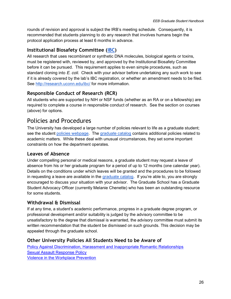rounds of revision and approval is subject the IRB's meeting schedule. Consequently, it is recommended that students planning to do any research that involves humans begin the protocol application process at least 6 months in advance.

# <span id="page-26-0"></span>**Institutional Biosafety Committee [\(IBC\)](http://research.uconn.edu/ibc/)**

All research that uses recombinant or synthetic DNA molecules, biological agents or toxins, must be registered with, reviewed by, and approved by the Institutional Biosafety Committee before it can be pursued. This requirement applies to even simple procedures, such as standard cloning into *E. coli*. Check with your advisor before undertaking any such work to see if it is already covered by the lab's IBC registration, or whether an amendment needs to be filed. See<http://research.uconn.edu/ibc/> for more information.

# <span id="page-26-1"></span>**Responsible Conduct of Research (RCR)**

All students who are supported by NIH or NSF funds (whether as an RA or on a fellowship) are required to complete a course in responsible conduct of research. See the section on courses (above) for options.

# <span id="page-26-2"></span>Policies and Procedures

The University has developed a large number of policies relevant to life as a graduate student; see the student [policies webpage.](http://policy.uconn.edu/academic-and-student-life/) The [graduate catalog](http://gradcatalog.uconn.edu/) contains additional policies related to academic matters. While these deal with unusual circumstances, they set some important constraints on how the department operates.

# <span id="page-26-3"></span>**Leaves of Absence**

Under compelling personal or medical reasons, a graduate student may request a leave of absence from his or her graduate program for a period of up to 12 months (one calendar year). Details on the conditions under which leaves will be granted and the procedures to be followed in requesting a leave are available in the [graduate catalog](http://gradcatalog.uconn.edu/grad-school-info/policy-on-leave-of-absence-from-graduate-studies/). If you're able to, you are strongly encouraged to discuss your situation with your advisor. The Graduate School has a Graduate Student Advocacy Officer (currently Melanie Chenette) who has been an outstanding resource for some students.

# <span id="page-26-4"></span>**Withdrawal & Dismissal**

If at any time, a student's academic performance, progress in a graduate degree program, or professional development and/or suitability is judged by the advisory committee to be unsatisfactory to the degree that dismissal is warranted, the advisory committee must submit its written recommendation that the student be dismissed on such grounds. This decision may be appealed through the graduate school.

# <span id="page-26-5"></span>**Other University Policies All Students Need to be Aware of**

[Policy Against Discrimination, Harassment and Inappropriate Romantic Relationships](http://policy.uconn.edu/?p=2884#wrapper) **[Sexual Assault Response Policy](http://policy.uconn.edu/?p=2139)** [Violence in the Workplace Prevention](http://policy.uconn.edu/?p=495)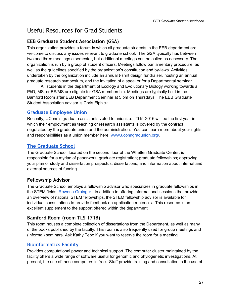# <span id="page-27-0"></span>Useful Resources for Grad Students

# <span id="page-27-1"></span>**EEB Graduate Student Association (GSA)**

This organization provides a forum in which all graduate students in the EEB department are welcome to discuss any issues relevant to graduate school. The GSA typically has between two and three meetings a semester, but additional meetings can be called as necessary. The organization is run by a group of student officers. Meetings follow parliamentary procedure, as well as the guidelines specified by the organization's constitution and by-laws. Activities undertaken by the organization include an annual t-shirt design fundraiser, hosting an annual graduate research symposium, and the invitation of a speaker for a Departmental seminar.

All students in the department of Ecology and Evolutionary Biology working towards a PhD, MS, or BS/MS are eligible for GSA membership. Meetings are typically held in the Bamford Room after EEB Department Seminar at 5 pm on Thursdays. The EEB Graduate Student Association advisor is Chris Elphick.

# <span id="page-27-2"></span>**[Graduate Employee Union](http://www.uconngradunion.org/)**

Recently, UConn's graduate assistants voted to unionize. 2015-2016 will be the first year in which their employment as teaching or research assistants is covered by the contract negotiated by the graduate union and the administration. You can learn more about your rights and responsibilities as a union member here: [www.uconngradunion.org/.](http://www.uconngradunion.org/)

# <span id="page-27-3"></span>**[The Graduate School](http://www.grad.uconn.edu/)**

The Graduate School, located on the second floor of the Whetten Graduate Center, is responsible for a myriad of paperwork: graduate registration; graduate fellowships; approving your plan of study and dissertation prospectus; dissertations; and information about internal and external sources of funding.

# <span id="page-27-4"></span>**Fellowship Advisor**

The Graduate School employs a fellowship advisor who specializes in graduate fellowships in the STEM fields, [Rowena Grainger.](http://www.onsf.uconn.edu/staff/) In addition to offering informational sessions that provide an overview of national STEM fellowships, the STEM fellowship advisor is available for individual consultations to provide feedback on application materials. This resource is an excellent supplement to the support offered within the department.

# <span id="page-27-5"></span>**Bamford Room (room TLS 171B)**

This room houses a complete collection of dissertations from the Department, as well as many of the books published by the faculty. This room is also frequently used for group meetings and (informal) seminars. Ask Kathy Tebo if you want to reserve the room for a meeting.

# <span id="page-27-6"></span>**[Bioinformatics Facility](http://bioinformatics.uconn.edu/)**

Provides computational power and technical support. The computer cluster maintained by the facility offers a wide range of software useful for genomic and phylogenetic investigations. At present, the use of these computers is free. Staff provide training and consultation in the use of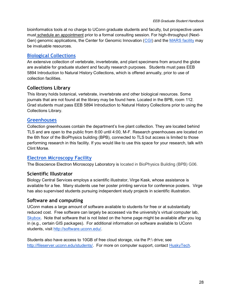bioinformatics tools at no charge to UConn graduate students and faculty, but prospective users must [schedule an appointment](http://bioinformatics.uconn.edu/contact-us/) prior to a formal consulting session. For high-throughput (Next-Gen) genomic applications, the Center for Genomic Innovation [\(CGI\)](http://cgi.uconn.edu/) and the [MARS facility](http://www.biotech.uconn.edu/marsf/) may be invaluable resources.

# <span id="page-28-0"></span>**[Biological Collections](http://biodiversity.uconn.edu/)**

An extensive collection of vertebrate, invertebrate, and plant specimens from around the globe are available for graduate student and faculty research purposes. Students must pass EEB 5894 Introduction to Natural History Collections, which is offered annually, prior to use of collection facilities.

# <span id="page-28-1"></span>**Collections Library**

This library holds botanical, vertebrate, invertebrate and other biological resources. Some journals that are not found at the library may be found here. Located in the BPB, room 112. Grad students must pass EEB 5894 Introduction to Natural History Collections prior to using the Collections Library.

### <span id="page-28-2"></span>**[Greenhouses](http://florawww.eeb.uconn.edu/)**

Collection greenhouses contain the department's live plant collection. They are located behind TLS and are open to the public from 8:00 until 4:00, M-F. Research greenhouses are located on the 6th floor of the BioPhysics building (BPB), connected to TLS but access is limited to those performing research in this facility. If you would like to use this space for your research, talk with Clint Morse.

# <span id="page-28-3"></span>**[Electron Microscopy Facility](http://emlab.uconn.edu/)**

The Bioscience Electron Microscopy Laboratory is located in BioPhysics Building (BPB) G06.

# <span id="page-28-4"></span>**Scientific Illustrator**

Biology Central Services employs a scientific illustrator, Virge Kask, whose assistance is available for a fee. Many students use her poster printing service for conference posters. Virge has also supervised students pursuing independent study projects in scientific illustration.

#### <span id="page-28-5"></span>**Software and computing**

UConn makes a large amount of software available to students for free or at substantially reduced cost. Free software can largely be accessed via the university's virtual computer lab, [Skybox.](http://skybox.uconn.edu/) Note that software that is not listed on the home page might be available after you log in (e.g., certain GIS packages). For additional information on software available to UConn students, visit [http://software.uconn.edu/.](http://software.uconn.edu/)

Students also have access to 10GB of free cloud storage, via the P:\ drive; see [http://fileserver.uconn.edu/students/.](http://fileserver.uconn.edu/students/) For more on computer support, contact [HuskyTech.](http://huskytech.uconn.edu/)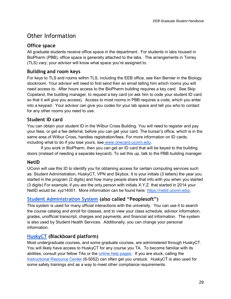# <span id="page-29-0"></span>Other Information

# <span id="page-29-1"></span>**Office space**

All graduate students receive office space in the department. For students in labs housed in BioPharm (PBB), office space is generally attached to the labs. The arrangements in Torrey (TLS) vary; your advisor will know what space you're assigned to.

# <span id="page-29-2"></span>**Building and room keys**

For keys to TLS and rooms within TLS, including the EEB office, see Ken Bernier in the Biology stockroom. Your advisor will need to first send Ken an email telling him which rooms you will need access to. After hours access to the BioPharm building requires a key card. See Skip Copeland, the building manager, to request a key card (or ask him to code your student ID card so that it will give you access). Access to most rooms in PBB requires a code, which you enter into a keypad. Your advisor can give you codes for your lab space and tell you who to contact for any other rooms you need to use.

# <span id="page-29-3"></span>**Student ID card**

You can obtain your student ID in the Wilbur Cross Building. You will need to register and pay your fees, or get a fee deferral, before you can get your card. The bursar's office, which is in the same area of Wilbur Cross, handles registration/fees. For more information on ID cards, including what to do if you lose yours, see [www.onecard.uconn.edu.](http://www.onecard.uconn.edu/) 

If you work in BioPharm, then you can get an ID card that will be keyed to the building doors (instead of needing a separate keycard). To set this up, talk to the PBB building manager.

# <span id="page-29-4"></span>**NetID**

UConn will use this ID to identify you for obtaining access for certain computing services such as: Student Administration, HuskyCT, VPN and Skybox. It is your initials (3 letters) the year you started in the program (2 digits) and how many people share that info with you when you started (3 digits) For example: if you are the only person with initials X.Y.Z. that started in 2014 your NetID would be: xyz14001. More information can be found here: [https://netid.uconn.edu/.](https://netid.uconn.edu/)

# <span id="page-29-5"></span>**[Student Administration System](https://student.studentadmin.uconn.edu/) (also called "Peoplesoft")**

This system is used for many official interactions with the university. You can use it to search the course catalog and enroll for classes, and to view your class schedule, advisor information, grades, unofficial transcript, charges and payments, and financial aid information. The system is also used by Student Health Services. Additionally, you can change your personal information.

# <span id="page-29-6"></span>**[HuskyCT](https://lms.uconn.edu/) (Blackboard platform)**

Most undergraduate courses, and some graduate courses, are administered through HuskyCT. You will likely have access to HuskyCT for any course you TA. To become familiar with its abilities, consult your fellow TAs or the [online help pages.](http://irc.uconn.edu/) If you are stuck, calling the [Instructional Resource Center](http://irc.uconn.edu/) (6-5052) can often get you unstuck. HuskyCT is also used for some safety trainings and as a way to meet other compliance requirements.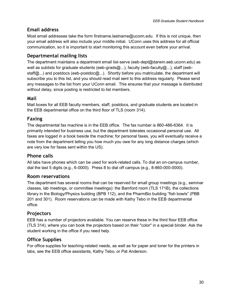# <span id="page-30-0"></span>**Email address**

Most email addresses take the form firstname.lastname@uconn.edu. If this is not unique, then your email address will also include your middle initial. UConn uses this address for all official communication, so it is important to start monitoring this account even before your arrival.

# <span id="page-30-1"></span>**Departmental mailing lists**

The department maintains a department email list-serve (eeb-dept@darwin.eeb.uconn.edu) as well as sublists for graduate students (eeb-grads@...), faculty (eeb-faculty@...), staff (eebstaff@...) and postdocs (eeb-postdoc@...). Shortly before you matriculate, the department will subscribe you to this list, and you should read mail sent to this address regularly. Please send any messages to the list from your UConn email. This ensures that your message is distributed without delay, since posting is restricted to list members.

# <span id="page-30-2"></span>**Mail**

Mail boxes for all EEB faculty members, staff, postdocs, and graduate students are located in the EEB departmental office on the third floor of TLS (room 314).

# <span id="page-30-3"></span>**Faxing**

The departmental fax machine is in the EEB office. The fax number is 860-486-6364. It is primarily intended for business use, but the department tolerates occasional personal use. All faxes are logged in a book beside the machine; for personal faxes, you will eventually receive a note from the department telling you how much you owe for any long distance charges (which are very low for faxes sent within the US).

# <span id="page-30-4"></span>**Phone calls**

All labs have phones which can be used for work-related calls. To dial an on-campus number, dial the last 5 digits (e.g., 6-0000). Press 8 to dial off campus (e.g., 8-860-000-0000).

# <span id="page-30-5"></span>**Room reservations**

The department has several rooms that can be reserved for small group meetings (e.g., seminar classes, lab meetings, or committee meetings): the Bamford room (TLS 171B), the collections library in the Biology/Physics building (BPB 112), and the PharmBio building "fish bowls" (PBB 201 and 301). Room reservations can be made with Kathy Tebo in the EEB departmental office.

# <span id="page-30-6"></span>**Projectors**

EEB has a number of projectors available. You can reserve these in the third floor EEB office (TLS 314), where you can book the projectors based on their "color" in a special binder. Ask the student working in the office if you need help.

# <span id="page-30-7"></span>**Office Supplies**

For office supplies for teaching-related needs, as well as for paper and toner for the printers in labs, see the EEB office assistants, Kathy Tebo, or Pat Anderson.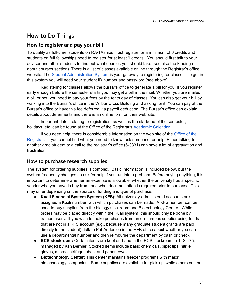# <span id="page-31-0"></span>How to Do Things

# **How to register and pay your bill**

To qualify as full-time, students on RA/TAships must register for a minimum of 6 credits and students on full fellowships need to register for at least 9 credits. You should first talk to your advisor and other students to find out what courses you should take (see also the Finding out about courses section). There is a list of classes available online through the Registrar's office website. The [Student Administration System](https://student.studentadmin.uconn.edu/) is your gateway to registering for classes. To get in this system you will need your student ID number and password (see above).

Registering for classes allows the bursar's office to generate a bill for you. If you register early enough before the semester starts you may get a bill in the mail. Whether you are mailed a bill or not, you need to pay your fees by the tenth day of classes. You can also get your bill by walking into the Bursar's office in the Wilbur Cross Building and asking for it. You can pay at the Bursar's office or have this fee deferred via payroll deduction. The Bursar's office can explain details about deferments and there is an online form on their web site.

Important dates relating to registration, as well as the start/end of the semester, holidays, etc. can be found at the Office of the Registrar's [Academic Calendar.](http://www.registrar.uconn.edu/calendar.htm)

If you need help, there is considerable information on the web site of the [Office of the](http://registrar.uconn.edu/)  [Registrar.](http://registrar.uconn.edu/) If you cannot find what you need to know, ask someone for help. Either talking to another grad student or a call to the registrar's office (6-3331) can save a lot of aggravation and frustration.

# <span id="page-31-1"></span>**How to purchase research supplies**

The system for ordering supplies is complex. Basic information is included below, but the system frequently changes so ask for help if you run into a problem. Before buying anything, it is important to determine whether an expense is allowable, whether the university has a specific vendor who you have to buy from, and what documentation is required prior to purchase. This may differ depending on the source of funding and type of purchase.

- **Kuali Financial System System (KFS):** All university-administered accounts are assigned a Kuali number, with which purchases can be made. A KFS number can be used to buy supplies from the biology stockroom and Biotechnology Center. While orders may be placed directly within the Kuali system, this should only be done by trained users. If you wish to make purchases from an on-campus supplier using funds that are not in a KFS account (e.g., because many graduate student grants are paid directly to the student), talk to Pat Anderson in the EEB office about whether you can use a departmental number and then reimburse the department by cash or check.
- **BCS stockroom:** Certain items are kept on-hand in the BCS stockroom in TLS 175, managed by Ken Bernier. Stocked items include basic chemicals, pipet tips, nitrile gloves, microcentrifuge tubes, and paper towels.
- **Biotechnology Center:** This center maintains freezer programs with major biotechnology companies. Some supplies are available for pick-up, while others can be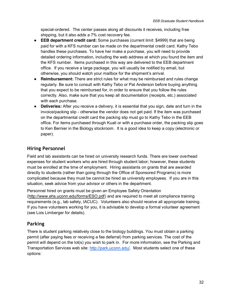special-ordered. The center passes along all discounts it receives, including free shipping, but it also adds a 7% cost recovery fee.

- **EEB department credit card:** Some purchases (current limit: \$4999) that are being paid for with a KFS number can be made on the departmental credit card. Kathy Tebo handles these purchases. To have her make a purchase, you will need to provide detailed ordering information, including the web address at which you found the item and the KFS number. Items purchased in this way are delivered to the EEB department office. If you receive a large package, you will usually be notified by email, but otherwise, you should watch your mailbox for the shipment's arrival.
- **Reimbursement:** There are strict rules for what may be reimbursed and rules change regularly. Be sure to consult with Kathy Tebo or Pat Anderson before buying anything that you expect to be reimbursed for, in order to ensure that you follow the rules correctly. Also, make sure that you keep all documentation (receipts, etc.) associated with each purchase.
- **Deliveries:** After you receive a delivery, it is essential that you sign, date and turn in the invoice/packing slip - otherwise the vendor does not get paid. If the item was purchased on the departmental credit card the packing slip must go to Kathy Tebo in the EEB office. For items purchased through Kuali or with a purchase order, the packing slip goes to Ken Bernier in the Biology stockroom. It is a good idea to keep a copy (electronic or paper).

# <span id="page-32-0"></span>**Hiring Personnel**

Field and lab assistants can be hired on university research funds. There are lower overhead expenses for student workers who are hired through student labor; however, these students must be enrolled at the time of employment. Hiring assistants on grants that are awarded directly to students (rather than going through the Office of Sponsored Programs) is more complicated because they must be cannot be hired as university employees. If you are in this situation, seek advice from your advisor or others in the department.

Personnel hired on grants must be given an Employee Safety Orientation [\(http://www.ehs.uconn.edu/forms/ESO.pdf\)](http://www.ehs.uconn.edu/forms/ESO.pdf) and are required to meet all compliance training requirements (e.g., lab safety, IACUC). Volunteers also should receive all appropriate training. If you have volunteers working for you, it is advisable to develop a formal volunteer agreement (see Lois Limberger for details).

# <span id="page-32-1"></span>**Parking**

There is student parking relatively close to the biology buildings. You must obtain a parking permit (after paying fees or receiving a fee deferral) from parking services. The cost of the permit will depend on the lot(s) you wish to park in. For more information, see the Parking and Transportation Services web site: [http://park.uconn.edu/.](http://park.uconn.edu/) Most students select one of these options: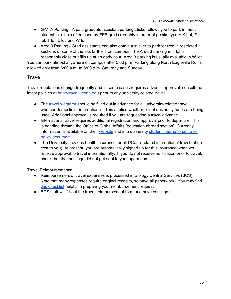- GA/TA Parking A paid graduate assistant parking sticker allows you to park in most student lots. Lots often used by EEB grads (roughly in order of proximity) are X Lot, F lot, T lot, L lot, and W lot.
- Area 3 Parking Grad assistants can also obtain a sticker to park for free in restricted sections of some of the lots farther from campus. The Area 3 parking in F lot is reasonably close but fills up at an early hour; Area 3 parking is usually available in W lot.

You can park almost anywhere on campus after 5:00 p.m. Parking along North Eagleville Rd. is allowed only from 6:00 a.m. to 6:00 p.m. Saturday and Sunday.

# <span id="page-33-0"></span>**Travel**

Travel regulations change frequently and in some cases requires advance approval; consult the latest policies at [http://travel.uconn.edu](http://travel.uconn.edu/) prior to any university-related travel.

- The [travel webform](https://forms.prod.uconn.edu/feb/login/org/index.html) should be filled out in advance for all university-related travel, whether domestic or international. This applies whether or not university funds are being used. Additional approval is required if you are requesting a travel advance.
- International travel requires additional registration and approval prior to departure. This is handled through the Office of Global Affairs (education abroad section). Currently, information is available on their [website](http://abroad.uconn.edu/health-safety-responsibilites/non-study-abroad-travelers/) and in a university [student international travel](http://policy.uconn.edu/2015/07/23/student-international-travel-policy/)  [policy document.](http://policy.uconn.edu/2015/07/23/student-international-travel-policy/)
- The University provides health insurance for all UConn-related international travel (at no cost to you). At present, you are automatically signed up for this insurance when you receive approval to travel internationally. If you do not receive notification prior to travel, check that the message did not get sent to your spam box.

Travel Reimbursements:

- Reimbursement of travel expenses is processed in Biology Central Services (BCS). Note that many expenses require original receipts, so save all paperwork. You may find [this checklist](http://travel.uconn.edu/wp-content/uploads/sites/481/2014/07/Travel-checklist1.pdf) helpful in preparing your reimbursement request.
- BCS staff will fill out the travel reimbursement form and have you sign it.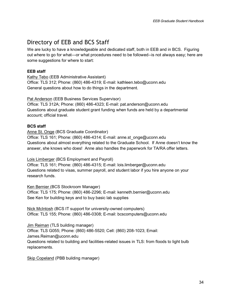# <span id="page-34-0"></span>Directory of EEB and BCS Staff

We are lucky to have a knowledgeable and dedicated staff, both in EEB and in BCS. Figuring out where to go for what—or what procedures need to be followed--is not always easy; here are some suggestions for where to start:

#### **EEB staff**

Kathy Tebo (EEB Administrative Assistant) Office: TLS 312; Phone: (860) 486-4319; E-mail: kathleen.tebo@uconn.edu General questions about how to do things in the department.

Pat Anderson (EEB Business Services Supervisor)

Office: TLS 312A; Phone: (860) 486-4323; E-mail: pat.anderson@uconn.edu Questions about graduate student grant funding when funds are held by a departmental account; official travel.

#### **BCS staff**

Anne St. Onge (BCS Graduate Coordinator)

Office: TLS 161; Phone: (860) 486-4314; E-mail: anne.st\_onge@uconn.edu Questions about almost everything related to the Graduate School. If Anne doesn't know the answer, she knows who does! Anne also handles the paperwork for TA/RA offer letters.

Lois Limberger (BCS Employment and Payroll)

Office: TLS 161; Phone: (860) 486-4315; E-mail: lois.limberger@uconn.edu Questions related to visas, summer payroll, and student labor if you hire anyone on your research funds.

Ken Bernier (BCS Stockroom Manager) Office: TLS 175; Phone: (860) 486-2296; E-mail: kenneth.bernier@uconn.edu See Ken for building keys and to buy basic lab supplies

Nick McIntosh (BCS IT support for university-owned computers) Office: TLS 155; Phone: (860) 486-0308; E-mail: bcscomputers@uconn.edu

Jim Reiman (TLS building manager) Office: TLS G055; Phone: (860) 486-5520; Cell: (860) 208-1023; Email: [James.Reiman@uconn.edu](mailto:James.Reiman@uconn.edu) Questions related to building and facilities-related issues in TLS: from floods to light bulb replacements.

Skip Copeland (PBB building manager)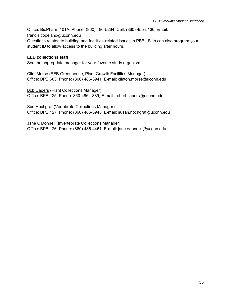Office: BioPharm 101A; Phone: (860) 486-5264; Cell: (860) 455-5136; Email: [francis.copeland@uconn.edu](mailto:francis.copeland@uconn.edu) Questions related to building and facilities-related issues in PBB. Skip can also program your student ID to allow access to the building after hours.

#### **EEB collections staff**

See the appropriate manager for your favorite study organism.

Clint Morse (EEB Greenhouse, Plant Growth Facilities Manager) Office: BPB 603; Phone: (860) 486-8941; E-mail: clinton.morse@uconn.edu

Bob Capers (Plant Collections Manager) Office: BPB 125; Phone: 860-486-1889; E-mail: robert.capers@uconn.edu

Sue Hochgraf (Vertebrate Collections Manager) Office: BPB 127; Phone: (860) 486-8945; E-mail: susan.hochgraf@uconn.edu

Jane O'Donnell (Invertebrate Collections Manager) Office: BPB 126; Phone: (860) 486-4451; E-mail: jane.odonnell@uconn.edu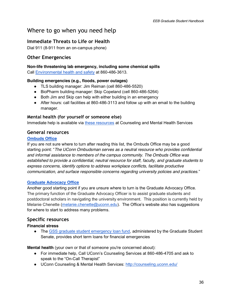# <span id="page-36-0"></span>Where to go when you need help

# <span id="page-36-1"></span>**Immediate Threats to Life or Health**

Dial 911 (8-911 from an on-campus phone)

# <span id="page-36-2"></span>**Other Emergencies**

#### <span id="page-36-3"></span>**Non-life threatening lab emergency, including some chemical spills**

Call [Environmental health and safety](http://www.ehs.uconn.edu/) at 860-486-3613.

#### <span id="page-36-4"></span>**Building emergencies (e.g., floods, power outages)**

- TLS building manager: Jim Reiman (cell 860-486-5520)
- BioPharm building manager: Skip Copeland (cell 860-486-5264)
- Both Jim and Skip can help with either building in an emergency
- After hours: call facilities at 860-486-3113 and follow up with an email to the building manager.

#### <span id="page-36-5"></span>**Mental health (for yourself or someone else)**

Immediate help is available via [these resources](http://counseling.uconn.edu/immediate-help/) at Counseling and Mental Health Services

#### <span id="page-36-6"></span>**General resources**

#### **[Ombuds Office](http://www.ombuds.uconn.edu/)**

If you are not sure where to turn after reading this list, the Ombuds Office may be a good starting point: "*The UConn Ombudsman serves as a neutral resource who provides confidential and informal assistance to members of the campus community. The Ombuds Office was established to provide a confidential, neutral resource for staff, faculty, and graduate students to express concerns, identify options to address workplace conflicts, facilitate productive communication, and surface responsible concerns regarding university policies and practices.*"

#### **[Graduate Advocacy Office](http://grad.uconn.edu/current-students/a-scholars-life/graduate-student-advocacy/)**

Another good starting point if you are unsure where to turn is the Graduate Advocacy Office. The primary function of the Graduate Advocacy Officer is to assist graduate students and postdoctoral scholars in navigating the university environment. This position is currently held by Melanie Chenette [\(melanie.chenette@uconn.edu\)](mailto:melanie.chenette@uconn.edu). The Office's website also has suggestions for where to start to address many problems.

# <span id="page-36-7"></span>**Specific resources**

#### **Financial stress**

• The [GSS graduate student emergency loan fund,](http://gss.uconn.edu/short-term-loans/) administered by the Graduate Student Senate, provides short term loans for financial emergencies

**Mental health** (your own or that of someone you're concerned about):

- For immediate help, Call UConn's Counseling Services at 860-486-4705 and ask to speak to the "On-Call Therapist"
- UConn Counseling & Mental Health Services:<http://counseling.uconn.edu/>